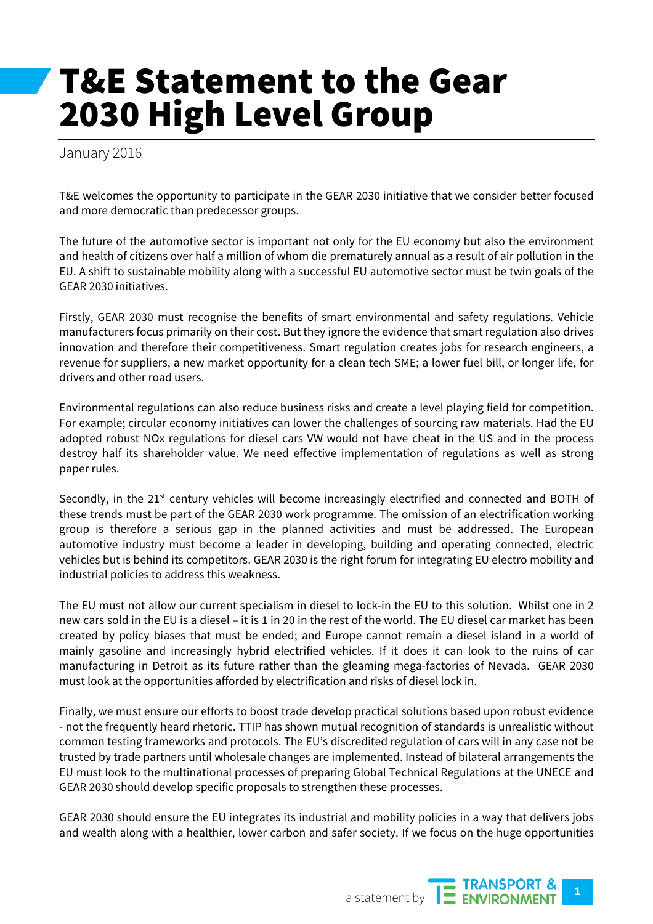## T&E Statement to the Gear 2030 High Level Group

January 2016

T&E welcomes the opportunity to participate in the GEAR 2030 initiative that we consider better focused and more democratic than predecessor groups.

The future of the automotive sector is important not only for the EU economy but also the environment and health of citizens over half a million of whom die prematurely annual as a result of air pollution in the EU. A shift to sustainable mobility along with a successful EU automotive sector must be twin goals of the GEAR 2030 initiatives.

Firstly, GEAR 2030 must recognise the benefits of smart environmental and safety regulations. Vehicle manufacturers focus primarily on their cost. But they ignore the evidence that smart regulation also drives innovation and therefore their competitiveness. Smart regulation creates jobs for research engineers, a revenue for suppliers, a new market opportunity for a clean tech SME; a lower fuel bill, or longer life, for drivers and other road users.

Environmental regulations can also reduce business risks and create a level playing field for competition. For example; circular economy initiatives can lower the challenges of sourcing raw materials. Had the EU adopted robust NOx regulations for diesel cars VW would not have cheat in the US and in the process destroy half its shareholder value. We need effective implementation of regulations as well as strong paper rules.

Secondly, in the 21<sup>st</sup> century vehicles will become increasingly electrified and connected and BOTH of these trends must be part of the GEAR 2030 work programme. The omission of an electrification working group is therefore a serious gap in the planned activities and must be addressed. The European automotive industry must become a leader in developing, building and operating connected, electric vehicles but is behind its competitors. GEAR 2030 is the right forum for integrating EU electro mobility and industrial policies to address this weakness.

The EU must not allow our current specialism in diesel to lock-in the EU to this solution. Whilst one in 2 new cars sold in the EU is a diesel – it is 1 in 20 in the rest of the world. The EU diesel car market has been created by policy biases that must be ended; and Europe cannot remain a diesel island in a world of mainly gasoline and increasingly hybrid electrified vehicles. If it does it can look to the ruins of car manufacturing in Detroit as its future rather than the gleaming mega-factories of Nevada. GEAR 2030 must look at the opportunities afforded by electrification and risks of diesel lock in.

Finally, we must ensure our efforts to boost trade develop practical solutions based upon robust evidence - not the frequently heard rhetoric. TTIP has shown mutual recognition of standards is unrealistic without common testing frameworks and protocols. The EU's discredited regulation of cars will in any case not be trusted by trade partners until wholesale changes are implemented. Instead of bilateral arrangements the EU must look to the multinational processes of preparing Global Technical Regulations at the UNECE and GEAR 2030 should develop specific proposals to strengthen these processes.

GEAR 2030 should ensure the EU integrates its industrial and mobility policies in a way that delivers jobs and wealth along with a healthier, lower carbon and safer society. If we focus on the huge opportunities